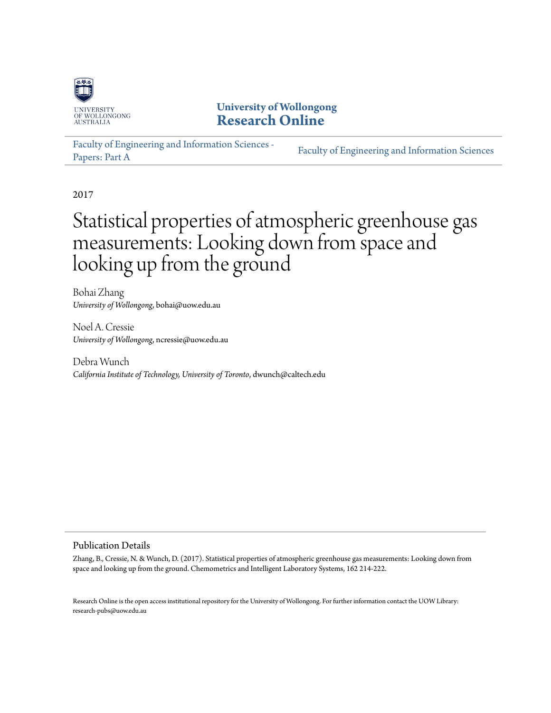

# **University of Wollongong [Research Online](http://ro.uow.edu.au)**

[Faculty of Engineering and Information Sciences -](http://ro.uow.edu.au/eispapers) [Papers: Part A](http://ro.uow.edu.au/eispapers) [Faculty of Engineering and Information Sciences](http://ro.uow.edu.au/eis)

2017

# Statistical properties of atmospheric greenhouse gas measurements: Looking down from space and looking up from the ground

Bohai Zhang *University of Wollongong*, bohai@uow.edu.au

Noel A. Cressie *University of Wollongong*, ncressie@uow.edu.au

Debra Wunch *California Institute of Technology, University of Toronto*, dwunch@caltech.edu

### Publication Details

Zhang, B., Cressie, N. & Wunch, D. (2017). Statistical properties of atmospheric greenhouse gas measurements: Looking down from space and looking up from the ground. Chemometrics and Intelligent Laboratory Systems, 162 214-222.

Research Online is the open access institutional repository for the University of Wollongong. For further information contact the UOW Library: research-pubs@uow.edu.au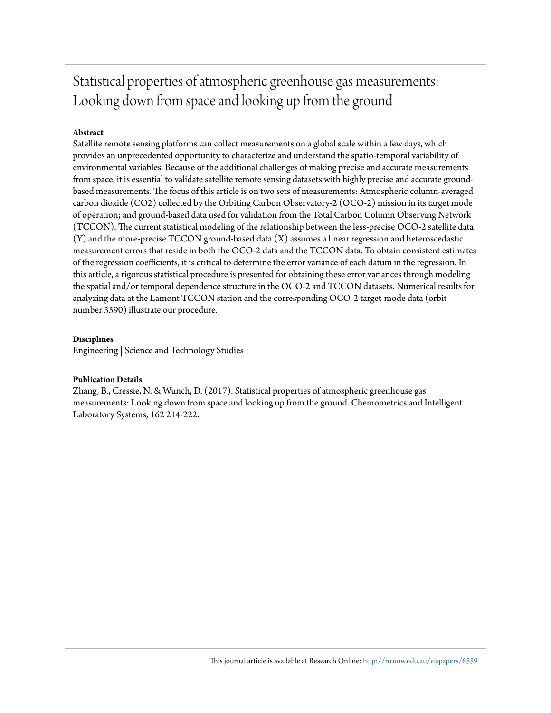# Statistical properties of atmospheric greenhouse gas measurements: Looking down from space and looking up from the ground

### **Abstract**

Satellite remote sensing platforms can collect measurements on a global scale within a few days, which provides an unprecedented opportunity to characterize and understand the spatio-temporal variability of environmental variables. Because of the additional challenges of making precise and accurate measurements from space, it is essential to validate satellite remote sensing datasets with highly precise and accurate groundbased measurements. The focus of this article is on two sets of measurements: Atmospheric column-averaged carbon dioxide (CO2) collected by the Orbiting Carbon Observatory-2 (OCO-2) mission in its target mode of operation; and ground-based data used for validation from the Total Carbon Column Observing Network (TCCON). The current statistical modeling of the relationship between the less-precise OCO-2 satellite data (Y) and the more-precise TCCON ground-based data (X) assumes a linear regression and heteroscedastic measurement errors that reside in both the OCO-2 data and the TCCON data. To obtain consistent estimates of the regression coefficients, it is critical to determine the error variance of each datum in the regression. In this article, a rigorous statistical procedure is presented for obtaining these error variances through modeling the spatial and/or temporal dependence structure in the OCO-2 and TCCON datasets. Numerical results for analyzing data at the Lamont TCCON station and the corresponding OCO-2 target-mode data (orbit number 3590) illustrate our procedure.

#### **Disciplines**

Engineering | Science and Technology Studies

#### **Publication Details**

Zhang, B., Cressie, N. & Wunch, D. (2017). Statistical properties of atmospheric greenhouse gas measurements: Looking down from space and looking up from the ground. Chemometrics and Intelligent Laboratory Systems, 162 214-222.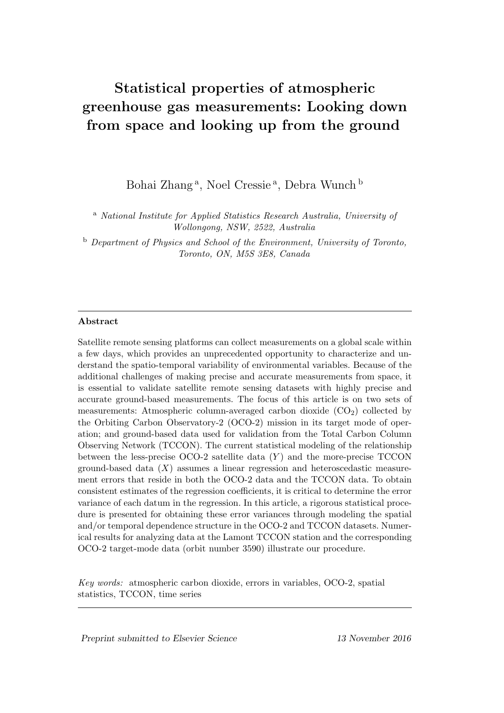# Statistical properties of atmospheric greenhouse gas measurements: Looking down from space and looking up from the ground

Bohai Zhang<sup>a</sup>, Noel Cressie<sup>a</sup>, Debra Wunch b

<sup>a</sup> National Institute for Applied Statistics Research Australia, University of Wollongong, NSW, 2522, Australia

<sup>b</sup> Department of Physics and School of the Environment, University of Toronto, Toronto, ON, M5S 3E8, Canada

### Abstract

Satellite remote sensing platforms can collect measurements on a global scale within a few days, which provides an unprecedented opportunity to characterize and understand the spatio-temporal variability of environmental variables. Because of the additional challenges of making precise and accurate measurements from space, it is essential to validate satellite remote sensing datasets with highly precise and accurate ground-based measurements. The focus of this article is on two sets of measurements: Atmospheric column-averaged carbon dioxide  $(CO<sub>2</sub>)$  collected by the Orbiting Carbon Observatory-2 (OCO-2) mission in its target mode of operation; and ground-based data used for validation from the Total Carbon Column Observing Network (TCCON). The current statistical modeling of the relationship between the less-precise  $OCO-2$  satellite data  $(Y)$  and the more-precise TCCON ground-based data  $(X)$  assumes a linear regression and heteroscedastic measurement errors that reside in both the OCO-2 data and the TCCON data. To obtain consistent estimates of the regression coefficients, it is critical to determine the error variance of each datum in the regression. In this article, a rigorous statistical procedure is presented for obtaining these error variances through modeling the spatial and/or temporal dependence structure in the OCO-2 and TCCON datasets. Numerical results for analyzing data at the Lamont TCCON station and the corresponding OCO-2 target-mode data (orbit number 3590) illustrate our procedure.

Key words: atmospheric carbon dioxide, errors in variables, OCO-2, spatial statistics, TCCON, time series

Preprint submitted to Elsevier Science 13 November 2016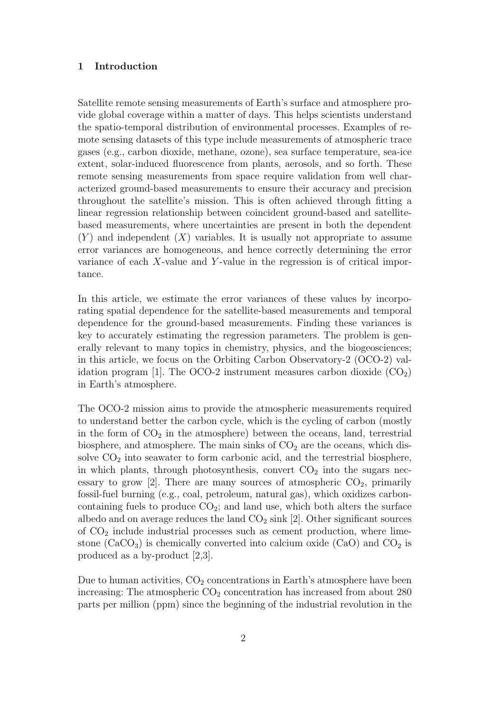#### 1 Introduction

Satellite remote sensing measurements of Earth's surface and atmosphere provide global coverage within a matter of days. This helps scientists understand the spatio-temporal distribution of environmental processes. Examples of remote sensing datasets of this type include measurements of atmospheric trace gases (e.g., carbon dioxide, methane, ozone), sea surface temperature, sea-ice extent, solar-induced fluorescence from plants, aerosols, and so forth. These remote sensing measurements from space require validation from well characterized ground-based measurements to ensure their accuracy and precision throughout the satellite's mission. This is often achieved through fitting a linear regression relationship between coincident ground-based and satellitebased measurements, where uncertainties are present in both the dependent  $(Y)$  and independent  $(X)$  variables. It is usually not appropriate to assume error variances are homogeneous, and hence correctly determining the error variance of each  $X$ -value and  $Y$ -value in the regression is of critical importance.

In this article, we estimate the error variances of these values by incorporating spatial dependence for the satellite-based measurements and temporal dependence for the ground-based measurements. Finding these variances is key to accurately estimating the regression parameters. The problem is generally relevant to many topics in chemistry, physics, and the biogeosciences; in this article, we focus on the Orbiting Carbon Observatory-2 (OCO-2) validation program [1]. The OCO-2 instrument measures carbon dioxide  $(CO<sub>2</sub>)$ in Earth's atmosphere.

The OCO-2 mission aims to provide the atmospheric measurements required to understand better the carbon cycle, which is the cycling of carbon (mostly in the form of  $CO<sub>2</sub>$  in the atmosphere) between the oceans, land, terrestrial biosphere, and atmosphere. The main sinks of  $CO<sub>2</sub>$  are the oceans, which dissolve  $CO<sub>2</sub>$  into seawater to form carbonic acid, and the terrestrial biosphere, in which plants, through photosynthesis, convert  $CO<sub>2</sub>$  into the sugars necessary to grow [2]. There are many sources of atmospheric  $CO<sub>2</sub>$ , primarily fossil-fuel burning (e.g., coal, petroleum, natural gas), which oxidizes carboncontaining fuels to produce  $CO<sub>2</sub>$ ; and land use, which both alters the surface albedo and on average reduces the land  $CO<sub>2</sub>$  sink [2]. Other significant sources of  $CO<sub>2</sub>$  include industrial processes such as cement production, where limestone ( $CaCO<sub>3</sub>$ ) is chemically converted into calcium oxide (CaO) and CO<sub>2</sub> is produced as a by-product [2,3].

Due to human activities,  $CO<sub>2</sub>$  concentrations in Earth's atmosphere have been increasing: The atmospheric  $CO<sub>2</sub>$  concentration has increased from about 280 parts per million (ppm) since the beginning of the industrial revolution in the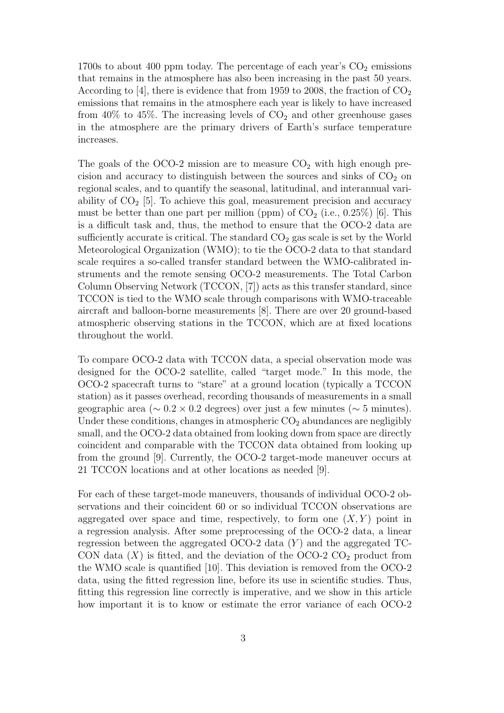1700s to about 400 ppm today. The percentage of each year's  $CO<sub>2</sub>$  emissions that remains in the atmosphere has also been increasing in the past 50 years. According to [4], there is evidence that from 1959 to 2008, the fraction of  $CO<sub>2</sub>$ emissions that remains in the atmosphere each year is likely to have increased from 40% to 45%. The increasing levels of  $CO<sub>2</sub>$  and other greenhouse gases in the atmosphere are the primary drivers of Earth's surface temperature increases.

The goals of the OCO-2 mission are to measure  $CO<sub>2</sub>$  with high enough precision and accuracy to distinguish between the sources and sinks of  $CO<sub>2</sub>$  on regional scales, and to quantify the seasonal, latitudinal, and interannual variability of  $CO<sub>2</sub>$  [5]. To achieve this goal, measurement precision and accuracy must be better than one part per million (ppm) of  $CO<sub>2</sub>$  (i.e., 0.25%) [6]. This is a difficult task and, thus, the method to ensure that the OCO-2 data are sufficiently accurate is critical. The standard  $CO<sub>2</sub>$  gas scale is set by the World Meteorological Organization (WMO); to tie the OCO-2 data to that standard scale requires a so-called transfer standard between the WMO-calibrated instruments and the remote sensing OCO-2 measurements. The Total Carbon Column Observing Network (TCCON, [7]) acts as this transfer standard, since TCCON is tied to the WMO scale through comparisons with WMO-traceable aircraft and balloon-borne measurements [8]. There are over 20 ground-based atmospheric observing stations in the TCCON, which are at fixed locations throughout the world.

To compare OCO-2 data with TCCON data, a special observation mode was designed for the OCO-2 satellite, called "target mode." In this mode, the OCO-2 spacecraft turns to "stare" at a ground location (typically a TCCON station) as it passes overhead, recording thousands of measurements in a small geographic area ( $\sim 0.2 \times 0.2$  degrees) over just a few minutes ( $\sim 5$  minutes). Under these conditions, changes in atmospheric  $CO<sub>2</sub>$  abundances are negligibly small, and the OCO-2 data obtained from looking down from space are directly coincident and comparable with the TCCON data obtained from looking up from the ground [9]. Currently, the OCO-2 target-mode maneuver occurs at 21 TCCON locations and at other locations as needed [9].

For each of these target-mode maneuvers, thousands of individual OCO-2 observations and their coincident 60 or so individual TCCON observations are aggregated over space and time, respectively, to form one  $(X, Y)$  point in a regression analysis. After some preprocessing of the OCO-2 data, a linear regression between the aggregated OCO-2 data  $(Y)$  and the aggregated TC-CON data  $(X)$  is fitted, and the deviation of the OCO-2 CO<sub>2</sub> product from the WMO scale is quantified [10]. This deviation is removed from the OCO-2 data, using the fitted regression line, before its use in scientific studies. Thus, fitting this regression line correctly is imperative, and we show in this article how important it is to know or estimate the error variance of each OCO-2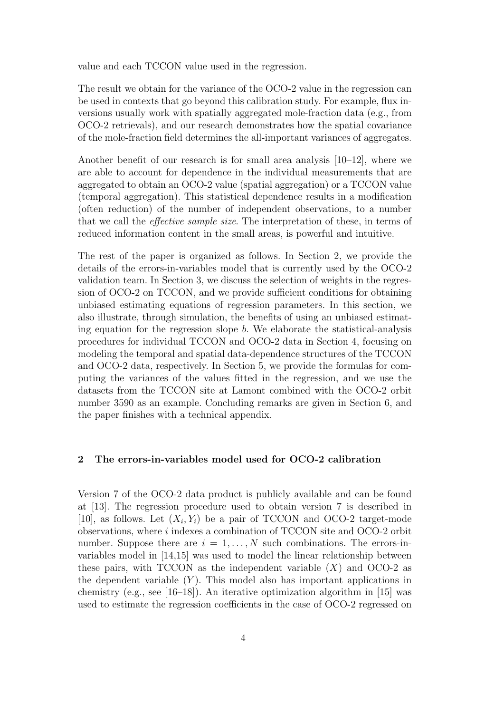value and each TCCON value used in the regression.

The result we obtain for the variance of the OCO-2 value in the regression can be used in contexts that go beyond this calibration study. For example, flux inversions usually work with spatially aggregated mole-fraction data (e.g., from OCO-2 retrievals), and our research demonstrates how the spatial covariance of the mole-fraction field determines the all-important variances of aggregates.

Another benefit of our research is for small area analysis [10–12], where we are able to account for dependence in the individual measurements that are aggregated to obtain an OCO-2 value (spatial aggregation) or a TCCON value (temporal aggregation). This statistical dependence results in a modification (often reduction) of the number of independent observations, to a number that we call the effective sample size. The interpretation of these, in terms of reduced information content in the small areas, is powerful and intuitive.

The rest of the paper is organized as follows. In Section 2, we provide the details of the errors-in-variables model that is currently used by the OCO-2 validation team. In Section 3, we discuss the selection of weights in the regression of OCO-2 on TCCON, and we provide sufficient conditions for obtaining unbiased estimating equations of regression parameters. In this section, we also illustrate, through simulation, the benefits of using an unbiased estimating equation for the regression slope  $b$ . We elaborate the statistical-analysis procedures for individual TCCON and OCO-2 data in Section 4, focusing on modeling the temporal and spatial data-dependence structures of the TCCON and OCO-2 data, respectively. In Section 5, we provide the formulas for computing the variances of the values fitted in the regression, and we use the datasets from the TCCON site at Lamont combined with the OCO-2 orbit number 3590 as an example. Concluding remarks are given in Section 6, and the paper finishes with a technical appendix.

# 2 The errors-in-variables model used for OCO-2 calibration

Version 7 of the OCO-2 data product is publicly available and can be found at [13]. The regression procedure used to obtain version 7 is described in [10], as follows. Let  $(X_i, Y_i)$  be a pair of TCCON and OCO-2 target-mode observations, where i indexes a combination of TCCON site and OCO-2 orbit number. Suppose there are  $i = 1, \ldots, N$  such combinations. The errors-invariables model in [14,15] was used to model the linear relationship between these pairs, with TCCON as the independent variable  $(X)$  and OCO-2 as the dependent variable  $(Y)$ . This model also has important applications in chemistry (e.g., see [16–18]). An iterative optimization algorithm in [15] was used to estimate the regression coefficients in the case of OCO-2 regressed on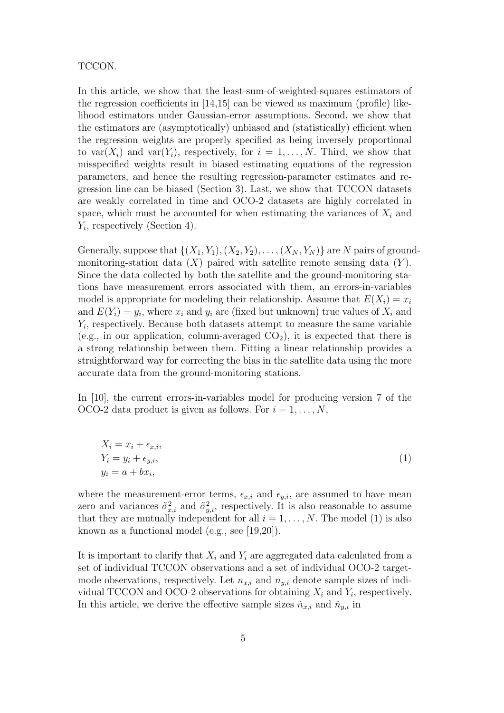#### TCCON.

In this article, we show that the least-sum-of-weighted-squares estimators of the regression coefficients in [14,15] can be viewed as maximum (profile) likelihood estimators under Gaussian-error assumptions. Second, we show that the estimators are (asymptotically) unbiased and (statistically) efficient when the regression weights are properly specified as being inversely proportional to var $(X_i)$  and var $(Y_i)$ , respectively, for  $i = 1, ..., N$ . Third, we show that misspecified weights result in biased estimating equations of the regression parameters, and hence the resulting regression-parameter estimates and regression line can be biased (Section 3). Last, we show that TCCON datasets are weakly correlated in time and OCO-2 datasets are highly correlated in space, which must be accounted for when estimating the variances of  $X_i$  and  $Y_i$ , respectively (Section 4).

Generally, suppose that  $\{(X_1, Y_1), (X_2, Y_2), \ldots, (X_N, Y_N)\}\$  are N pairs of groundmonitoring-station data  $(X)$  paired with satellite remote sensing data  $(Y)$ . Since the data collected by both the satellite and the ground-monitoring stations have measurement errors associated with them, an errors-in-variables model is appropriate for modeling their relationship. Assume that  $E(X_i) = x_i$ and  $E(Y_i) = y_i$ , where  $x_i$  and  $y_i$  are (fixed but unknown) true values of  $X_i$  and  $Y_i$ , respectively. Because both datasets attempt to measure the same variable (e.g., in our application, column-averaged  $CO<sub>2</sub>$ ), it is expected that there is a strong relationship between them. Fitting a linear relationship provides a straightforward way for correcting the bias in the satellite data using the more accurate data from the ground-monitoring stations.

In [10], the current errors-in-variables model for producing version 7 of the OCO-2 data product is given as follows. For  $i = 1, \ldots, N$ ,

$$
X_i = x_i + \epsilon_{x,i},
$$
  
\n
$$
Y_i = y_i + \epsilon_{y,i},
$$
  
\n
$$
y_i = a + bx_i,
$$
\n(1)

where the measurement-error terms,  $\epsilon_{x,i}$  and  $\epsilon_{y,i}$ , are assumed to have mean zero and variances  $\tilde{\sigma}_{x,i}^2$  and  $\tilde{\sigma}_{y,i}^2$ , respectively. It is also reasonable to assume that they are mutually independent for all  $i = 1, \ldots, N$ . The model (1) is also known as a functional model (e.g., see [19,20]).

It is important to clarify that  $X_i$  and  $Y_i$  are aggregated data calculated from a set of individual TCCON observations and a set of individual OCO-2 targetmode observations, respectively. Let  $n_{x,i}$  and  $n_{y,i}$  denote sample sizes of individual TCCON and OCO-2 observations for obtaining  $X_i$  and  $Y_i$ , respectively. In this article, we derive the effective sample sizes  $\tilde{n}_{x,i}$  and  $\tilde{n}_{y,i}$  in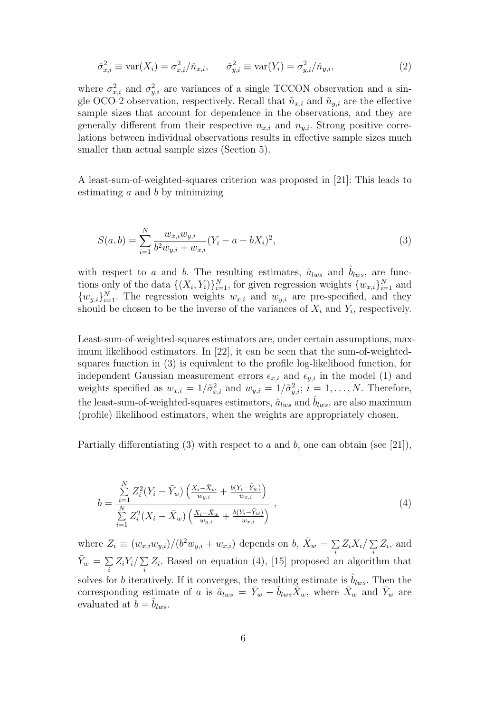$$
\tilde{\sigma}_{x,i}^2 \equiv \text{var}(X_i) = \sigma_{x,i}^2 / \tilde{n}_{x,i}, \qquad \tilde{\sigma}_{y,i}^2 \equiv \text{var}(Y_i) = \sigma_{y,i}^2 / \tilde{n}_{y,i}, \tag{2}
$$

where  $\sigma_{x,i}^2$  and  $\sigma_{y,i}^2$  are variances of a single TCCON observation and a single OCO-2 observation, respectively. Recall that  $\tilde{n}_{x,i}$  and  $\tilde{n}_{y,i}$  are the effective sample sizes that account for dependence in the observations, and they are generally different from their respective  $n_{x,i}$  and  $n_{y,i}$ . Strong positive correlations between individual observations results in effective sample sizes much smaller than actual sample sizes (Section 5).

A least-sum-of-weighted-squares criterion was proposed in [21]: This leads to estimating  $a$  and  $b$  by minimizing

$$
S(a,b) = \sum_{i=1}^{N} \frac{w_{x,i}w_{y,i}}{b^2 w_{y,i} + w_{x,i}} (Y_i - a - bX_i)^2,
$$
\n(3)

with respect to a and b. The resulting estimates,  $\hat{a}_{lws}$  and  $\hat{b}_{lws}$ , are functions only of the data  $\{(X_i, Y_i)\}_{i=1}^N$ , for given regression weights  $\{w_{x,i}\}_{i=1}^N$  and  $\{w_{y,i}\}_{i=1}^N$ . The regression weights  $w_{x,i}$  and  $w_{y,i}$  are pre-specified, and they should be chosen to be the inverse of the variances of  $X_i$  and  $Y_i$ , respectively.

Least-sum-of-weighted-squares estimators are, under certain assumptions, maximum likelihood estimators. In [22], it can be seen that the sum-of-weightedsquares function in (3) is equivalent to the profile log-likelihood function, for independent Gaussian measurement errors  $\epsilon_{x,i}$  and  $\epsilon_{y,i}$  in the model (1) and weights specified as  $w_{x,i} = 1/\tilde{\sigma}_{x,i}^2$  and  $w_{y,i} = 1/\tilde{\sigma}_{y,i}^2$ ;  $i = 1, \ldots, N$ . Therefore, the least-sum-of-weighted-squares estimators,  $\hat{a}_{lws}$  and  $\hat{b}_{lws}$ , are also maximum (profile) likelihood estimators, when the weights are appropriately chosen.

Partially differentiating (3) with respect to a and b, one can obtain (see [21]),

$$
b = \frac{\sum\limits_{i=1}^{N} Z_i^2 (Y_i - \bar{Y}_w) \left( \frac{X_i - \bar{X}_w}{w_{y,i}} + \frac{b(Y_i - \bar{Y}_w)}{w_{x,i}} \right)}{\sum\limits_{i=1}^{N} Z_i^2 (X_i - \bar{X}_w) \left( \frac{X_i - \bar{X}_w}{w_{y,i}} + \frac{b(Y_i - \bar{Y}_w)}{w_{x,i}} \right)},
$$
\n
$$
(4)
$$

where  $Z_i \equiv (w_{x,i}w_{y,i})/(b^2w_{y,i} + w_{x,i})$  depends on  $b, \bar{X}_w = \sum$  $\sum\limits_i Z_i X_i / \sum\limits_i$  $\sum\limits_i Z_i$ , and  $\bar{Y}_w = \sum$  $\sum\limits_i Z_i Y_i / \sum\limits_i$  $\sum_i Z_i$ . Based on equation (4), [15] proposed an algorithm that solves for b iteratively. If it converges, the resulting estimate is  $\hat{b}_{lws}$ . Then the corresponding estimate of a is  $\hat{a}_{lws} = \bar{Y}_w - \hat{b}_{lws}\bar{X}_w$ , where  $\bar{X}_w$  and  $\bar{Y}_w$  are evaluated at  $b = b_{lws}$ .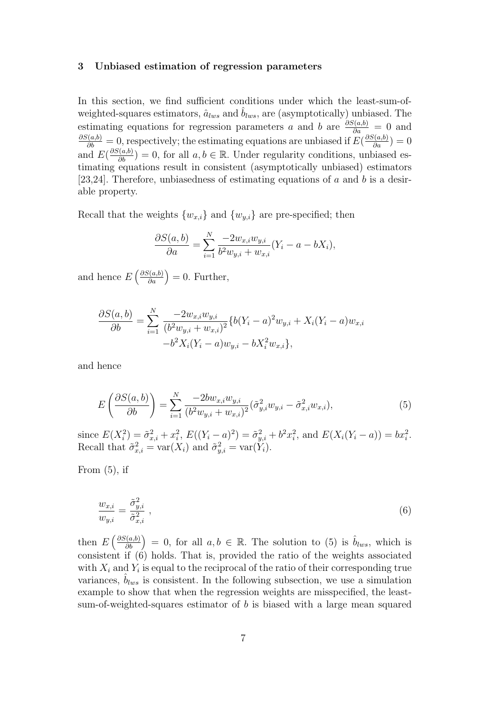#### 3 Unbiased estimation of regression parameters

In this section, we find sufficient conditions under which the least-sum-ofweighted-squares estimators,  $\hat{a}_{lws}$  and  $b_{lws}$ , are (asymptotically) unbiased. The estimating equations for regression parameters a and b are  $\frac{\partial S(a,b)}{\partial a} = 0$  and  $\frac{\partial S(a,b)}{\partial b} = 0$ , respectively; the estimating equations are unbiased if  $E(\frac{\partial S(a,b)}{\partial a}) = 0$ and  $E(\frac{\partial S(a,b)}{\partial b}) = 0$ , for all  $a, b \in \mathbb{R}$ . Under regularity conditions, unbiased estimating equations result in consistent (asymptotically unbiased) estimators [23,24]. Therefore, unbiasedness of estimating equations of a and b is a desirable property.

Recall that the weights  $\{w_{x,i}\}\$  and  $\{w_{y,i}\}\$ are pre-specified; then

$$
\frac{\partial S(a,b)}{\partial a} = \sum_{i=1}^{N} \frac{-2w_{x,i}w_{y,i}}{b^2 w_{y,i} + w_{x,i}} (Y_i - a - bX_i),
$$

and hence  $E\left(\frac{\partial S(a,b)}{\partial a}\right) = 0$ . Further,

$$
\frac{\partial S(a,b)}{\partial b} = \sum_{i=1}^{N} \frac{-2w_{x,i}w_{y,i}}{(b^2w_{y,i} + w_{x,i})^2} \{b(Y_i - a)^2w_{y,i} + X_i(Y_i - a)w_{x,i} -b^2X_i(Y_i - a)w_{y,i} -bX_i^2w_{x,i}\},\
$$

and hence

$$
E\left(\frac{\partial S(a,b)}{\partial b}\right) = \sum_{i=1}^{N} \frac{-2bw_{x,i}w_{y,i}}{(b^2w_{y,i} + w_{x,i})^2} (\tilde{\sigma}_{y,i}^2 w_{y,i} - \tilde{\sigma}_{x,i}^2 w_{x,i}),
$$
\n
$$
(5)
$$

since  $E(X_i^2) = \tilde{\sigma}_{x,i}^2 + x_i^2$ ,  $E((Y_i - a)^2) = \tilde{\sigma}_{y,i}^2 + b^2 x_i^2$ , and  $E(X_i(Y_i - a)) = bx_i^2$ . Recall that  $\tilde{\sigma}_{x,i}^2 = \text{var}(X_i)$  and  $\tilde{\sigma}_{y,i}^2 = \text{var}(\tilde{Y}_i)$ .

From  $(5)$ , if

$$
\frac{w_{x,i}}{w_{y,i}} = \frac{\tilde{\sigma}_{y,i}^2}{\tilde{\sigma}_{x,i}^2} \tag{6}
$$

then  $E\left(\frac{\partial S(a,b)}{\partial b}\right) = 0$ , for all  $a, b \in \mathbb{R}$ . The solution to (5) is  $\hat{b}_{lws}$ , which is consistent if (6) holds. That is, provided the ratio of the weights associated with  $X_i$  and  $Y_i$  is equal to the reciprocal of the ratio of their corresponding true variances,  $b_{lws}$  is consistent. In the following subsection, we use a simulation example to show that when the regression weights are misspecified, the leastsum-of-weighted-squares estimator of  $b$  is biased with a large mean squared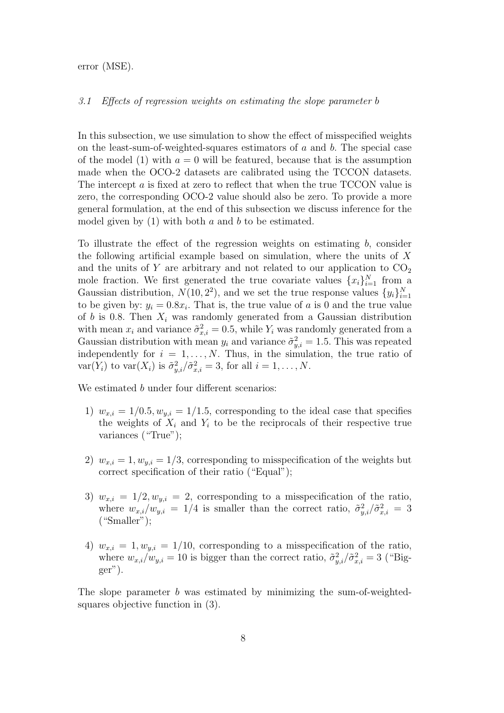error (MSE).

#### 3.1 Effects of regression weights on estimating the slope parameter b

In this subsection, we use simulation to show the effect of misspecified weights on the least-sum-of-weighted-squares estimators of a and b. The special case of the model (1) with  $a = 0$  will be featured, because that is the assumption made when the OCO-2 datasets are calibrated using the TCCON datasets. The intercept  $a$  is fixed at zero to reflect that when the true TCCON value is zero, the corresponding OCO-2 value should also be zero. To provide a more general formulation, at the end of this subsection we discuss inference for the model given by  $(1)$  with both  $a$  and  $b$  to be estimated.

To illustrate the effect of the regression weights on estimating  $b$ , consider the following artificial example based on simulation, where the units of  $X$ and the units of Y are arbitrary and not related to our application to  $CO<sub>2</sub>$ mole fraction. We first generated the true covariate values  $\{x_i\}_{i=1}^N$  from a Gaussian distribution,  $N(10, 2^2)$ , and we set the true response values  $\{y_i\}_{i=1}^N$ to be given by:  $y_i = 0.8x_i$ . That is, the true value of a is 0 and the true value of b is 0.8. Then  $X_i$  was randomly generated from a Gaussian distribution with mean  $x_i$  and variance  $\tilde{\sigma}_{x,i}^2 = 0.5$ , while  $Y_i$  was randomly generated from a Gaussian distribution with mean  $y_i$  and variance  $\tilde{\sigma}_{y,i}^2 = 1.5$ . This was repeated independently for  $i = 1, ..., N$ . Thus, in the simulation, the true ratio of  $\text{var}(Y_i)$  to  $\text{var}(X_i)$  is  $\tilde{\sigma}_{y,i}^2/\tilde{\sigma}_{x,i}^2 = 3$ , for all  $i = 1, \ldots, N$ .

We estimated *b* under four different scenarios:

- 1)  $w_{x,i} = 1/0.5, w_{y,i} = 1/1.5$ , corresponding to the ideal case that specifies the weights of  $X_i$  and  $Y_i$  to be the reciprocals of their respective true variances ("True");
- 2)  $w_{x,i} = 1, w_{y,i} = 1/3$ , corresponding to misspecification of the weights but correct specification of their ratio ("Equal");
- 3)  $w_{x,i} = 1/2, w_{y,i} = 2$ , corresponding to a misspecification of the ratio, where  $w_{x,i}/w_{y,i} = 1/4$  is smaller than the correct ratio,  $\tilde{\sigma}_{y,i}^2/\tilde{\sigma}_{x,i}^2 = 3$  $("Smaller");$
- 4)  $w_{x,i} = 1, w_{y,i} = 1/10$ , corresponding to a misspecification of the ratio, where  $w_{x,i}/w_{y,i} = 10$  is bigger than the correct ratio,  $\tilde{\sigma}_{y,i}^2/\tilde{\sigma}_{x,i}^2 = 3$  ("Bigger").

The slope parameter  $b$  was estimated by minimizing the sum-of-weightedsquares objective function in (3).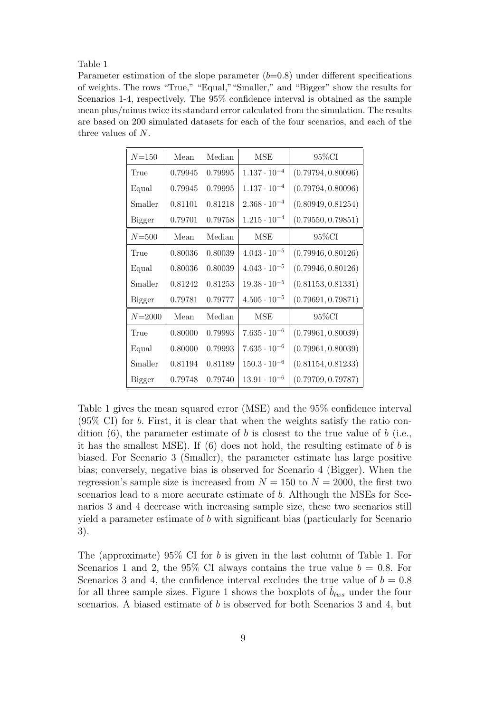#### Table 1

Parameter estimation of the slope parameter  $(b=0.8)$  under different specifications of weights. The rows "True," "Equal,""Smaller," and "Bigger" show the results for Scenarios 1-4, respectively. The 95% confidence interval is obtained as the sample mean plus/minus twice its standard error calculated from the simulation. The results are based on 200 simulated datasets for each of the four scenarios, and each of the three values of N.

| $N = 150$     | Mean    | Median  | <b>MSE</b>            | 95%CI              |  |
|---------------|---------|---------|-----------------------|--------------------|--|
| True          | 0.79945 | 0.79995 | $1.137 \cdot 10^{-4}$ | (0.79794, 0.80096) |  |
| Equal         | 0.79945 | 0.79995 | $1.137 \cdot 10^{-4}$ | (0.79794, 0.80096) |  |
| Smaller       | 0.81101 | 0.81218 | $2.368 \cdot 10^{-4}$ | (0.80949, 0.81254) |  |
| Bigger        | 0.79701 | 0.79758 | $1.215 \cdot 10^{-4}$ | (0.79550, 0.79851) |  |
| $N = 500$     | Mean    | Median  | MSE                   | 95%CI              |  |
| True          | 0.80036 | 0.80039 | $4.043 \cdot 10^{-5}$ | (0.79946, 0.80126) |  |
| Equal         | 0.80036 | 0.80039 | $4.043 \cdot 10^{-5}$ | (0.79946, 0.80126) |  |
| Smaller       | 0.81242 | 0.81253 | $19.38 \cdot 10^{-5}$ | (0.81153, 0.81331) |  |
| Bigger        | 0.79781 | 0.79777 | $4.505 \cdot 10^{-5}$ | (0.79691, 0.79871) |  |
| $N = 2000$    | Mean    | Median  | <b>MSE</b>            | 95%CI              |  |
| True          | 0.80000 | 0.79993 | $7.635 \cdot 10^{-6}$ | (0.79961, 0.80039) |  |
| Equal         | 0.80000 | 0.79993 | $7.635 \cdot 10^{-6}$ | (0.79961, 0.80039) |  |
| Smaller       | 0.81194 | 0.81189 | $150.3 \cdot 10^{-6}$ | (0.81154, 0.81233) |  |
| <b>Bigger</b> | 0.79748 | 0.79740 | $13.91 \cdot 10^{-6}$ | (0.79709, 0.79787) |  |

Table 1 gives the mean squared error (MSE) and the 95% confidence interval (95% CI) for b. First, it is clear that when the weights satisfy the ratio condition  $(6)$ , the parameter estimate of b is closest to the true value of b (i.e., it has the smallest MSE). If  $(6)$  does not hold, the resulting estimate of b is biased. For Scenario 3 (Smaller), the parameter estimate has large positive bias; conversely, negative bias is observed for Scenario 4 (Bigger). When the regression's sample size is increased from  $N = 150$  to  $N = 2000$ , the first two scenarios lead to a more accurate estimate of b. Although the MSEs for Scenarios 3 and 4 decrease with increasing sample size, these two scenarios still yield a parameter estimate of b with significant bias (particularly for Scenario 3).

The (approximate)  $95\%$  CI for b is given in the last column of Table 1. For Scenarios 1 and 2, the 95% CI always contains the true value  $b = 0.8$ . For Scenarios 3 and 4, the confidence interval excludes the true value of  $b = 0.8$ for all three sample sizes. Figure 1 shows the boxplots of  $b_{lws}$  under the four scenarios. A biased estimate of b is observed for both Scenarios 3 and 4, but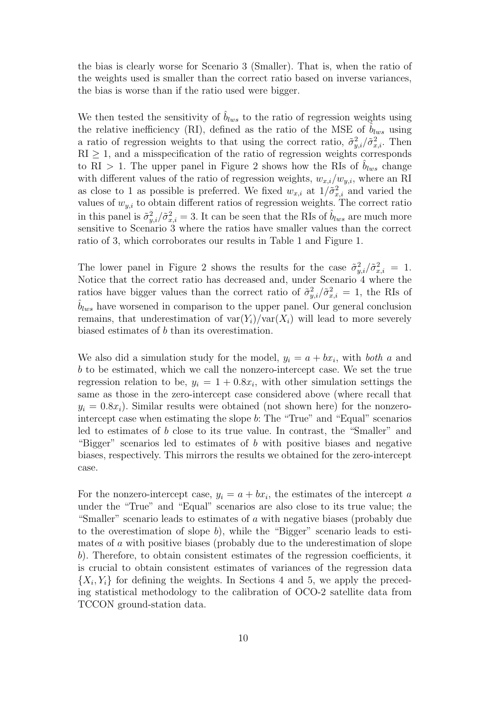the bias is clearly worse for Scenario 3 (Smaller). That is, when the ratio of the weights used is smaller than the correct ratio based on inverse variances, the bias is worse than if the ratio used were bigger.

We then tested the sensitivity of  $\hat{b}_{lws}$  to the ratio of regression weights using the relative inefficiency (RI), defined as the ratio of the MSE of  $b_{lws}$  using a ratio of regression weights to that using the correct ratio,  $\tilde{\sigma}_{y,i}^2/\tilde{\sigma}_{x,i}^2$ . Then  $RI \geq 1$ , and a misspecification of the ratio of regression weights corresponds to RI > 1. The upper panel in Figure 2 shows how the RIs of  $b_{lws}$  change with different values of the ratio of regression weights,  $w_{x,i}/w_{y,i}$ , where an RI as close to 1 as possible is preferred. We fixed  $w_{x,i}$  at  $1/\tilde{\sigma}_{x,i}^2$  and varied the values of  $w_{y,i}$  to obtain different ratios of regression weights. The correct ratio in this panel is  $\tilde{\sigma}_{y,i}^2/\tilde{\sigma}_{x,i}^2 = 3$ . It can be seen that the RIs of  $\hat{b}_{lws}$  are much more sensitive to Scenario 3 where the ratios have smaller values than the correct ratio of 3, which corroborates our results in Table 1 and Figure 1.

The lower panel in Figure 2 shows the results for the case  $\tilde{\sigma}_{y,i}^2/\tilde{\sigma}_{x,i}^2 = 1$ . Notice that the correct ratio has decreased and, under Scenario 4 where the ratios have bigger values than the correct ratio of  $\tilde{\sigma}_{y,i}^2/\tilde{\sigma}_{x,i}^2 = 1$ , the RIs of  $b_{lws}$  have worsened in comparison to the upper panel. Our general conclusion remains, that underestimation of  $var(Y_i)/var(X_i)$  will lead to more severely biased estimates of b than its overestimation.

We also did a simulation study for the model,  $y_i = a + bx_i$ , with both a and b to be estimated, which we call the nonzero-intercept case. We set the true regression relation to be,  $y_i = 1 + 0.8x_i$ , with other simulation settings the same as those in the zero-intercept case considered above (where recall that  $y_i = 0.8x_i$ . Similar results were obtained (not shown here) for the nonzerointercept case when estimating the slope b: The "True" and "Equal" scenarios led to estimates of b close to its true value. In contrast, the "Smaller" and "Bigger" scenarios led to estimates of b with positive biases and negative biases, respectively. This mirrors the results we obtained for the zero-intercept case.

For the nonzero-intercept case,  $y_i = a + bx_i$ , the estimates of the intercept a under the "True" and "Equal" scenarios are also close to its true value; the "Smaller" scenario leads to estimates of a with negative biases (probably due to the overestimation of slope b), while the "Bigger" scenario leads to estimates of a with positive biases (probably due to the underestimation of slope b). Therefore, to obtain consistent estimates of the regression coefficients, it is crucial to obtain consistent estimates of variances of the regression data  ${X_i, Y_i}$  for defining the weights. In Sections 4 and 5, we apply the preceding statistical methodology to the calibration of OCO-2 satellite data from TCCON ground-station data.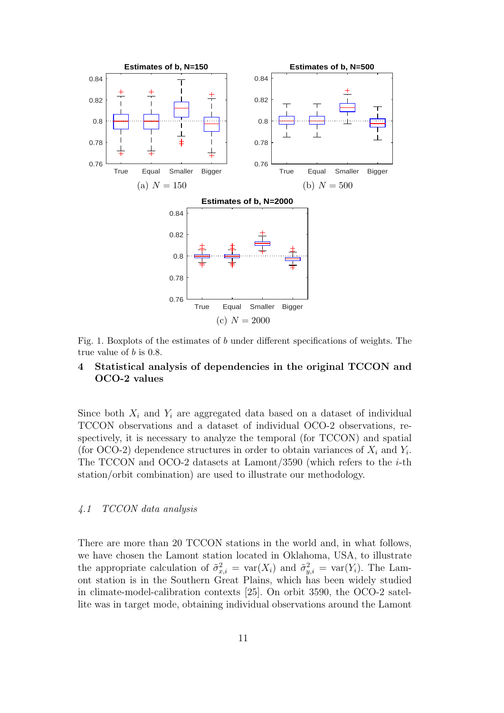

Fig. 1. Boxplots of the estimates of b under different specifications of weights. The true value of b is 0.8.

# 4 Statistical analysis of dependencies in the original TCCON and OCO-2 values

Since both  $X_i$  and  $Y_i$  are aggregated data based on a dataset of individual TCCON observations and a dataset of individual OCO-2 observations, respectively, it is necessary to analyze the temporal (for TCCON) and spatial (for OCO-2) dependence structures in order to obtain variances of  $X_i$  and  $Y_i$ . The TCCON and OCO-2 datasets at Lamont/3590 (which refers to the  $i$ -th station/orbit combination) are used to illustrate our methodology.

# 4.1 TCCON data analysis

There are more than 20 TCCON stations in the world and, in what follows, we have chosen the Lamont station located in Oklahoma, USA, to illustrate the appropriate calculation of  $\tilde{\sigma}_{x,i}^2 = \text{var}(X_i)$  and  $\tilde{\sigma}_{y,i}^2 = \text{var}(Y_i)$ . The Lamont station is in the Southern Great Plains, which has been widely studied in climate-model-calibration contexts [25]. On orbit 3590, the OCO-2 satellite was in target mode, obtaining individual observations around the Lamont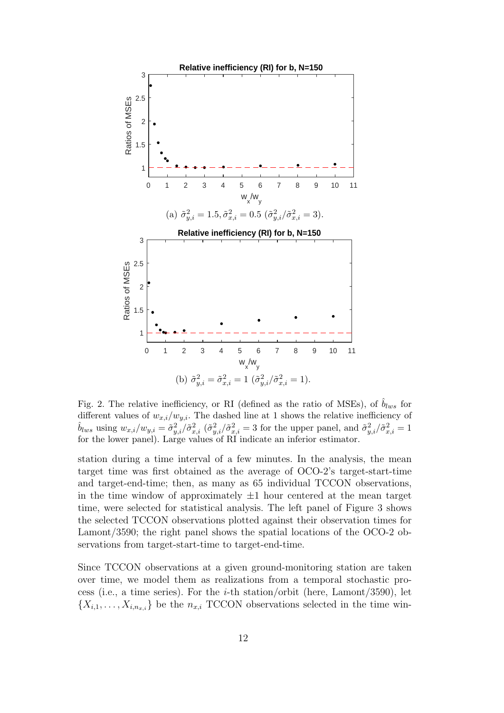

Fig. 2. The relative inefficiency, or RI (defined as the ratio of MSEs), of  $\hat{b}_{lws}$  for different values of  $w_{x,i}/w_{y,i}$ . The dashed line at 1 shows the relative inefficiency of  $\hat{b}_{lws}$  using  $w_{x,i}/w_{y,i} = \tilde{\sigma}_{y,i}^2/\tilde{\sigma}_{x,i}^2$  ( $\tilde{\sigma}_{y,i}^2/\tilde{\sigma}_{x,i}^2 = 3$  for the upper panel, and  $\tilde{\sigma}_{y,i}^2/\tilde{\sigma}_{x,i}^2 = 1$ for the lower panel). Large values of RI indicate an inferior estimator.

station during a time interval of a few minutes. In the analysis, the mean target time was first obtained as the average of OCO-2's target-start-time and target-end-time; then, as many as 65 individual TCCON observations, in the time window of approximately  $\pm 1$  hour centered at the mean target time, were selected for statistical analysis. The left panel of Figure 3 shows the selected TCCON observations plotted against their observation times for Lamont/3590; the right panel shows the spatial locations of the OCO-2 observations from target-start-time to target-end-time.

Since TCCON observations at a given ground-monitoring station are taken over time, we model them as realizations from a temporal stochastic process (i.e., a time series). For the *i*-th station/orbit (here, Lamont/3590), let  ${X_{i,1}, \ldots, X_{i,n_{x,i}}}$  be the  $n_{x,i}$  TCCON observations selected in the time win-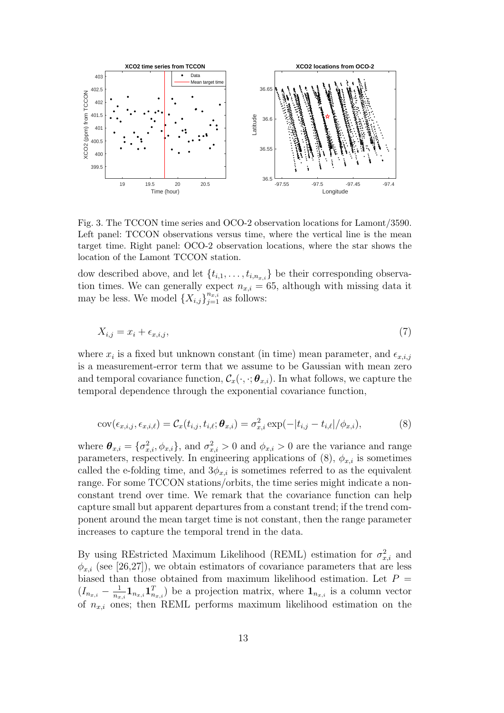

Fig. 3. The TCCON time series and OCO-2 observation locations for Lamont/3590. Left panel: TCCON observations versus time, where the vertical line is the mean target time. Right panel: OCO-2 observation locations, where the star shows the location of the Lamont TCCON station.

dow described above, and let  $\{t_{i,1},\ldots,t_{i,n_x,i}\}$  be their corresponding observation times. We can generally expect  $n_{x,i} = 65$ , although with missing data it may be less. We model  $\{X_{i,j}\}_{j=1}^{n_x,i}$  as follows:

$$
X_{i,j} = x_i + \epsilon_{x,i,j},\tag{7}
$$

where  $x_i$  is a fixed but unknown constant (in time) mean parameter, and  $\epsilon_{x,i,j}$ is a measurement-error term that we assume to be Gaussian with mean zero and temporal covariance function,  $\mathcal{C}_x(\cdot, \cdot; \boldsymbol{\theta}_{x,i})$ . In what follows, we capture the temporal dependence through the exponential covariance function,

$$
cov(\epsilon_{x,i,j}, \epsilon_{x,i,\ell}) = \mathcal{C}_x(t_{i,j}, t_{i,\ell}; \boldsymbol{\theta}_{x,i}) = \sigma_{x,i}^2 \exp(-|t_{i,j} - t_{i,\ell}|/\phi_{x,i}), \tag{8}
$$

where  $\theta_{x,i} = \{\sigma_{x,i}^2, \phi_{x,i}\}\$ , and  $\sigma_{x,i}^2 > 0$  and  $\phi_{x,i} > 0$  are the variance and range parameters, respectively. In engineering applications of  $(8)$ ,  $\phi_{x,i}$  is sometimes called the e-folding time, and  $3\phi_{x,i}$  is sometimes referred to as the equivalent range. For some TCCON stations/orbits, the time series might indicate a nonconstant trend over time. We remark that the covariance function can help capture small but apparent departures from a constant trend; if the trend component around the mean target time is not constant, then the range parameter increases to capture the temporal trend in the data.

By using REstricted Maximum Likelihood (REML) estimation for  $\sigma_{x,i}^2$  and  $\phi_{x,i}$  (see [26,27]), we obtain estimators of covariance parameters that are less biased than those obtained from maximum likelihood estimation. Let  $P =$  $(I_{n_{x,i}}-\frac{1}{n_{x}}$  $\frac{1}{n_{x,i}} \mathbf{1}_{n_{x,i}} \mathbf{1}_{n_{x,i}}^T$  be a projection matrix, where  $\mathbf{1}_{n_{x,i}}$  is a column vector of  $n_{x,i}$  ones; then REML performs maximum likelihood estimation on the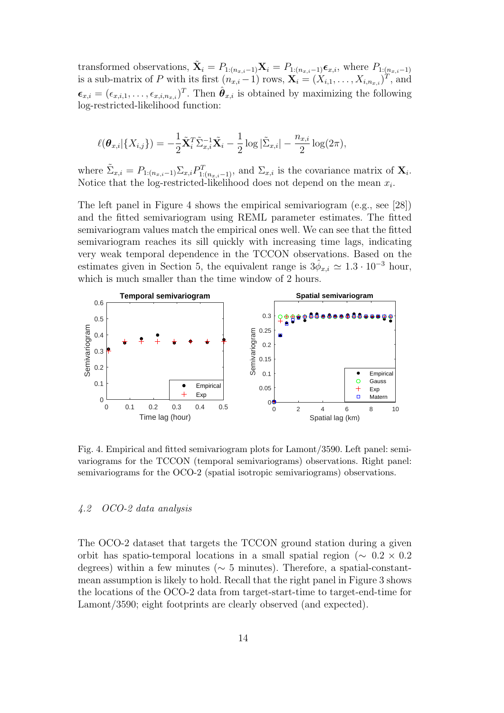transformed observations,  $\tilde{\mathbf{X}}_i = P_{1:(n_{x,i}-1)}\mathbf{X}_i = P_{1:(n_{x,i}-1)}\boldsymbol{\epsilon}_{x,i}$ , where  $P_{1:(n_{x,i}-1)}$ is a sub-matrix of P with its first  $(n_{x,i}-1)$  rows,  $\mathbf{X}_i = (X_{i,1}, \ldots, X_{i,n_{x,i}})^T$ , and  $\boldsymbol{\epsilon}_{x,i} = (\epsilon_{x,i,1},\ldots,\epsilon_{x,i,n_{x,i}})^T$ . Then  $\hat{\boldsymbol{\theta}}_{x,i}$  is obtained by maximizing the following log-restricted-likelihood function:

$$
\ell(\boldsymbol{\theta}_{x,i}|\{X_{i,j}\})=-\frac{1}{2}\tilde{\mathbf{X}}_i^T\tilde{\Sigma}_{x,i}^{-1}\tilde{\mathbf{X}}_i-\frac{1}{2}\log|\tilde{\Sigma}_{x,i}|-\frac{n_{x,i}}{2}\log(2\pi),
$$

where  $\tilde{\Sigma}_{x,i} = P_{1:(n_{x,i}-1)} \Sigma_{x,i} P_{1:(n_{x,i}-1)}^T$ , and  $\Sigma_{x,i}$  is the covariance matrix of  $\mathbf{X}_i$ . Notice that the log-restricted-likelihood does not depend on the mean  $x_i$ .

The left panel in Figure 4 shows the empirical semivariogram (e.g., see [28]) and the fitted semivariogram using REML parameter estimates. The fitted semivariogram values match the empirical ones well. We can see that the fitted semivariogram reaches its sill quickly with increasing time lags, indicating very weak temporal dependence in the TCCON observations. Based on the estimates given in Section 5, the equivalent range is  $3\hat{\phi}_{x,i} \simeq 1.3 \cdot 10^{-3}$  hour, which is much smaller than the time window of 2 hours.



Fig. 4. Empirical and fitted semivariogram plots for Lamont/3590. Left panel: semivariograms for the TCCON (temporal semivariograms) observations. Right panel: semivariograms for the OCO-2 (spatial isotropic semivariograms) observations.

# 4.2 OCO-2 data analysis

The OCO-2 dataset that targets the TCCON ground station during a given orbit has spatio-temporal locations in a small spatial region ( $\sim 0.2 \times 0.2$ ) degrees) within a few minutes ( $\sim$  5 minutes). Therefore, a spatial-constantmean assumption is likely to hold. Recall that the right panel in Figure 3 shows the locations of the OCO-2 data from target-start-time to target-end-time for Lamont/3590; eight footprints are clearly observed (and expected).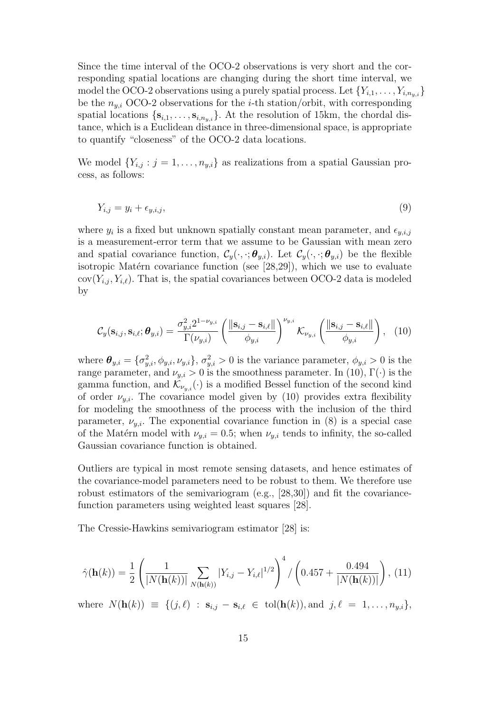Since the time interval of the OCO-2 observations is very short and the corresponding spatial locations are changing during the short time interval, we model the OCO-2 observations using a purely spatial process. Let  $\{Y_{i,1},\ldots,Y_{i,n_{i},i}\}$ be the  $n_{y,i}$  OCO-2 observations for the *i*-th station/orbit, with corresponding spatial locations  $\{s_{i,1},\ldots,s_{i,n_{i},j}\}\$ . At the resolution of 15km, the chordal distance, which is a Euclidean distance in three-dimensional space, is appropriate to quantify "closeness" of the OCO-2 data locations.

We model  $\{Y_{i,j} : j = 1, \ldots, n_{y,i}\}\$ as realizations from a spatial Gaussian process, as follows:

$$
Y_{i,j} = y_i + \epsilon_{y,i,j},\tag{9}
$$

where  $y_i$  is a fixed but unknown spatially constant mean parameter, and  $\epsilon_{y,i,j}$ is a measurement-error term that we assume to be Gaussian with mean zero and spatial covariance function,  $\mathcal{C}_y(\cdot,\cdot;\boldsymbol{\theta}_{y,i})$ . Let  $\mathcal{C}_y(\cdot,\cdot;\boldsymbol{\theta}_{y,i})$  be the flexible isotropic Matérn covariance function (see  $[28,29]$ ), which we use to evaluate  $cov(Y_{i,j}, Y_{i,\ell})$ . That is, the spatial covariances between OCO-2 data is modeled by

$$
C_{y}(\mathbf{s}_{i,j}, \mathbf{s}_{i,\ell}; \boldsymbol{\theta}_{y,i}) = \frac{\sigma_{y,i}^{2} 2^{1-\nu_{y,i}}}{\Gamma(\nu_{y,i})} \left( \frac{\|\mathbf{s}_{i,j} - \mathbf{s}_{i,\ell}\|}{\phi_{y,i}} \right)^{\nu_{y,i}} \mathcal{K}_{\nu_{y,i}} \left( \frac{\|\mathbf{s}_{i,j} - \mathbf{s}_{i,\ell}\|}{\phi_{y,i}} \right), \quad (10)
$$

where  $\theta_{y,i} = \{\sigma_{y,i}^2, \phi_{y,i}, \nu_{y,i}\}, \sigma_{y,i}^2 > 0$  is the variance parameter,  $\phi_{y,i} > 0$  is the range parameter, and  $\nu_{y,i} > 0$  is the smoothness parameter. In (10),  $\Gamma(\cdot)$  is the gamma function, and  $\mathcal{K}_{\nu_{n,i}}(\cdot)$  is a modified Bessel function of the second kind of order  $\nu_{u,i}$ . The covariance model given by (10) provides extra flexibility for modeling the smoothness of the process with the inclusion of the third parameter,  $\nu_{y,i}$ . The exponential covariance function in (8) is a special case of the Matérn model with  $\nu_{y,i} = 0.5$ ; when  $\nu_{y,i}$  tends to infinity, the so-called Gaussian covariance function is obtained.

Outliers are typical in most remote sensing datasets, and hence estimates of the covariance-model parameters need to be robust to them. We therefore use robust estimators of the semivariogram (e.g., [28,30]) and fit the covariancefunction parameters using weighted least squares [28].

The Cressie-Hawkins semivariogram estimator [28] is:

$$
\hat{\gamma}(\mathbf{h}(k)) = \frac{1}{2} \left( \frac{1}{|N(\mathbf{h}(k))|} \sum_{N(\mathbf{h}(k))} |Y_{i,j} - Y_{i,\ell}|^{1/2} \right)^4 / \left( 0.457 + \frac{0.494}{|N(\mathbf{h}(k))|} \right), (11)
$$

where  $N(\mathbf{h}(k)) \equiv \{ (j, \ell) : \mathbf{s}_{i,j} - \mathbf{s}_{i,\ell} \in \text{tol}(\mathbf{h}(k)), \text{and } j, \ell = 1, \ldots, n_{y,i} \},$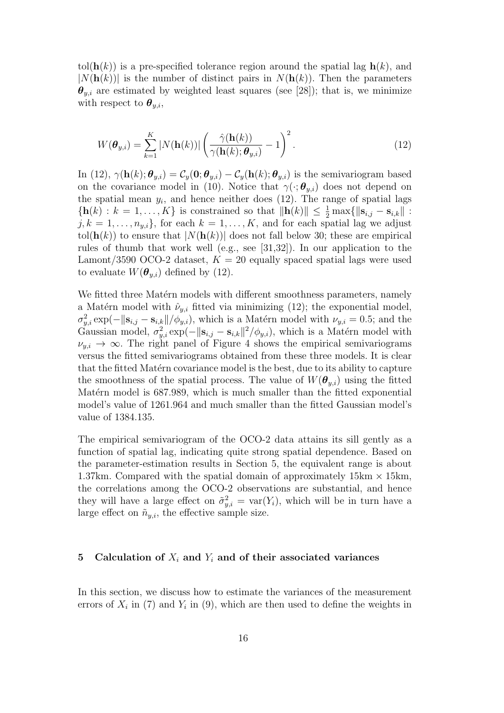tol( $h(k)$ ) is a pre-specified tolerance region around the spatial lag  $h(k)$ , and  $|N(\mathbf{h}(k))|$  is the number of distinct pairs in  $N(\mathbf{h}(k))$ . Then the parameters  $\theta_{y,i}$  are estimated by weighted least squares (see [28]); that is, we minimize with respect to  $\boldsymbol{\theta}_{y,i}$ ,

$$
W(\boldsymbol{\theta}_{y,i}) = \sum_{k=1}^{K} |N(\mathbf{h}(k))| \left( \frac{\hat{\gamma}(\mathbf{h}(k))}{\gamma(\mathbf{h}(k); \boldsymbol{\theta}_{y,i})} - 1 \right)^2.
$$
 (12)

In (12),  $\gamma(\mathbf{h}(k); \theta_{y,i}) = C_y(\mathbf{0}; \theta_{y,i}) - C_y(\mathbf{h}(k); \theta_{y,i})$  is the semivariogram based on the covariance model in (10). Notice that  $\gamma(\cdot; \theta_{y,i})$  does not depend on the spatial mean  $y_i$ , and hence neither does  $(12)$ . The range of spatial lags  ${\bf h}(k) : k = 1, ..., K$  is constrained so that  $\|{\bf h}(k)\| \leq \frac{1}{2} \max\{|{\bf s}_{i,j} - {\bf s}_{i,k}\|$ :  $j, k = 1, \ldots, n_{y,i}$ , for each  $k = 1, \ldots, K$ , and for each spatial lag we adjust tol( $h(k)$ ) to ensure that  $|N(h(k))|$  does not fall below 30; these are empirical rules of thumb that work well (e.g., see [31,32]). In our application to the Lamont/3590 OCO-2 dataset,  $K = 20$  equally spaced spatial lags were used to evaluate  $W(\boldsymbol{\theta}_{u,i})$  defined by (12).

We fitted three Matérn models with different smoothness parameters, namely a Matérn model with  $\hat{\nu}_{y,i}$  fitted via minimizing (12); the exponential model,  $\sigma_{y,i}^2 \exp(-\|\mathbf{s}_{i,j} - \mathbf{s}_{i,k}\|/\phi_{y,i}),$  which is a Matérn model with  $\nu_{y,i} = 0.5$ ; and the Gaussian model,  $\sigma_{y,i}^2 \exp(-\|\mathbf{s}_{i,j} - \mathbf{s}_{i,k}\|^2/\phi_{y,i})$ , which is a Matérn model with  $\nu_{y,i} \to \infty$ . The right panel of Figure 4 shows the empirical semivariograms versus the fitted semivariograms obtained from these three models. It is clear that the fitted Matérn covariance model is the best, due to its ability to capture the smoothness of the spatial process. The value of  $W(\theta_{y,i})$  using the fitted Matérn model is 687.989, which is much smaller than the fitted exponential model's value of 1261.964 and much smaller than the fitted Gaussian model's value of 1384.135.

The empirical semivariogram of the OCO-2 data attains its sill gently as a function of spatial lag, indicating quite strong spatial dependence. Based on the parameter-estimation results in Section 5, the equivalent range is about 1.37km. Compared with the spatial domain of approximately  $15km \times 15km$ , the correlations among the OCO-2 observations are substantial, and hence they will have a large effect on  $\tilde{\sigma}_{y,i}^2 = \text{var}(Y_i)$ , which will be in turn have a large effect on  $\tilde{n}_{u,i}$ , the effective sample size.

#### 5 Calculation of  $X_i$  and  $Y_i$  and of their associated variances

In this section, we discuss how to estimate the variances of the measurement errors of  $X_i$  in (7) and  $Y_i$  in (9), which are then used to define the weights in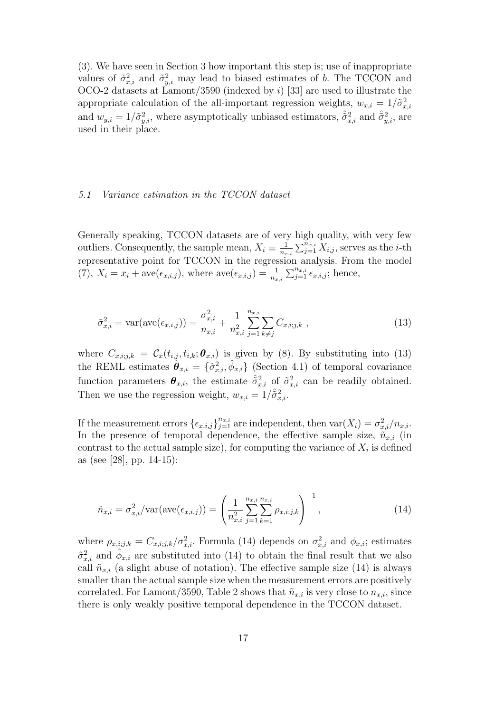(3). We have seen in Section 3 how important this step is; use of inappropriate values of  $\tilde{\sigma}_{x,i}^2$  and  $\tilde{\sigma}_{y,i}^2$  may lead to biased estimates of b. The TCCON and OCO-2 datasets at Lamont/3590 (indexed by  $i$ ) [33] are used to illustrate the appropriate calculation of the all-important regression weights,  $w_{x,i} = 1/\tilde{\sigma}_{x,i}^2$ and  $w_{y,i} = 1/\tilde{\sigma}_{y,i}^2$ , where asymptotically unbiased estimators,  $\hat{\tilde{\sigma}}_{x,i}^2$  and  $\hat{\tilde{\sigma}}_{y,i}^2$ , are used in their place.

#### 5.1 Variance estimation in the TCCON dataset

Generally speaking, TCCON datasets are of very high quality, with very few outliers. Consequently, the sample mean,  $X_i \equiv \frac{1}{n_i}$  $\frac{1}{n_{x,i}} \sum_{j=1}^{n_{x,i}} X_{i,j}$ , serves as the *i*-th representative point for TCCON in the regression analysis. From the model  $(7), X_i = x_i + \text{ave}(\epsilon_{x,i,j}), \text{ where } \text{ave}(\epsilon_{x,i,j}) = \frac{1}{n_{x,i}} \sum_{j=1}^{n_{x,i}} \epsilon_{x,i,j}; \text{ hence,}$ 

$$
\tilde{\sigma}_{x,i}^2 = \text{var}(\text{ave}(\epsilon_{x,i,j})) = \frac{\sigma_{x,i}^2}{n_{x,i}} + \frac{1}{n_{x,i}^2} \sum_{j=1}^{n_{x,i}} \sum_{k \neq j} C_{x,i,j,k} , \qquad (13)
$$

where  $C_{x,i;j,k} = C_x(t_{i,j}, t_{i,k}; \boldsymbol{\theta}_{x,i})$  is given by (8). By substituting into (13) the REML estimates  $\hat{\theta}_{x,i} = \{\hat{\sigma}_{x,i}^2, \hat{\phi}_{x,i}\}\$  (Section 4.1) of temporal covariance function parameters  $\theta_{x,i}$ , the estimate  $\hat{\sigma}_{x,i}^2$  of  $\tilde{\sigma}_{x,i}^2$  can be readily obtained. Then we use the regression weight,  $w_{x,i} = 1/\hat{\sigma}_{x,i}^2$ .

If the measurement errors  $\{\epsilon_{x,i,j}\}_{j=1}^{n_{x,i}}$  are independent, then  $\text{var}(X_i) = \sigma_{x,i}^2/n_{x,i}$ . In the presence of temporal dependence, the effective sample size,  $\tilde{n}_{x,i}$  (in contrast to the actual sample size), for computing the variance of  $X_i$  is defined as (see [28], pp. 14-15):

$$
\tilde{n}_{x,i} = \sigma_{x,i}^2 / \text{var}(\text{ave}(\epsilon_{x,i,j})) = \left(\frac{1}{n_{x,i}^2} \sum_{j=1}^{n_{x,i}} \sum_{k=1}^{n_{x,i}} \rho_{x,i,j,k}\right)^{-1},\tag{14}
$$

where  $\rho_{x,i;j,k} = C_{x,i;j,k}/\sigma_{x,i}^2$ . Formula (14) depends on  $\sigma_{x,i}^2$  and  $\phi_{x,i}$ ; estimates  $\hat{\sigma}_{x,i}^2$  and  $\hat{\phi}_{x,i}$  are substituted into (14) to obtain the final result that we also call  $\tilde{n}_{x,i}$  (a slight abuse of notation). The effective sample size (14) is always smaller than the actual sample size when the measurement errors are positively correlated. For Lamont/3590, Table 2 shows that  $\tilde{n}_{x,i}$  is very close to  $n_{x,i}$ , since there is only weakly positive temporal dependence in the TCCON dataset.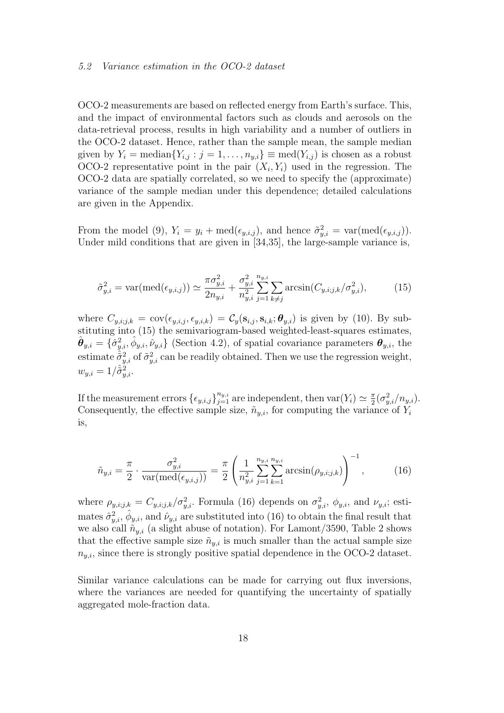#### 5.2 Variance estimation in the OCO-2 dataset

OCO-2 measurements are based on reflected energy from Earth's surface. This, and the impact of environmental factors such as clouds and aerosols on the data-retrieval process, results in high variability and a number of outliers in the OCO-2 dataset. Hence, rather than the sample mean, the sample median given by  $Y_i = \text{median}\{Y_{i,j} : j = 1, \ldots, n_{y,i}\} \equiv \text{med}(Y_{i,j})$  is chosen as a robust OCO-2 representative point in the pair  $(X_i, Y_i)$  used in the regression. The OCO-2 data are spatially correlated, so we need to specify the (approximate) variance of the sample median under this dependence; detailed calculations are given in the Appendix.

From the model (9),  $Y_i = y_i + \text{med}(\epsilon_{y,i,j})$ , and hence  $\tilde{\sigma}_{y,i}^2 = \text{var}(\text{med}(\epsilon_{y,i,j}))$ . Under mild conditions that are given in [34,35], the large-sample variance is,

$$
\tilde{\sigma}_{y,i}^2 = \text{var}(\text{med}(\epsilon_{y,i,j})) \simeq \frac{\pi \sigma_{y,i}^2}{2n_{y,i}} + \frac{\sigma_{y,i}^2}{n_{y,i}^2} \sum_{j=1}^{n_{y,i}} \sum_{k \neq j} \arcsin(C_{y,i,j,k}/\sigma_{y,i}^2), \tag{15}
$$

where  $C_{u,i;j,k} = \text{cov}(\epsilon_{u,i,j}, \epsilon_{u,i,k}) = C_u(\mathbf{s}_{i,j}, \mathbf{s}_{i,k}; \boldsymbol{\theta}_{u,i})$  is given by (10). By substituting into (15) the semivariogram-based weighted-least-squares estimates,  $\hat{\boldsymbol{\theta}}_{y,i} = \{\hat{\sigma}_{y,i}^2, \hat{\phi}_{y,i}, \hat{\nu}_{y,i}\}\$  (Section 4.2), of spatial covariance parameters  $\boldsymbol{\theta}_{y,i}$ , the estimate  $\hat{\sigma}_{y,i}^2$  of  $\tilde{\sigma}_{y,i}^2$  can be readily obtained. Then we use the regression weight,  $w_{y,i} = 1/\hat{\tilde{\sigma}}_{y,i}^2$ .

If the measurement errors  $\{\epsilon_{y,i,j}\}_{j=1}^{n_{y,i}}$  are independent, then  $\text{var}(Y_i) \simeq \frac{\pi}{2}$  $rac{\pi}{2}(\sigma_{y,i}^2/n_{y,i}).$ Consequently, the effective sample size,  $\tilde{n}_{y,i}$ , for computing the variance of  $Y_i$ is,

$$
\tilde{n}_{y,i} = \frac{\pi}{2} \cdot \frac{\sigma_{y,i}^2}{\text{var}(\text{med}(\epsilon_{y,i,j}))} = \frac{\pi}{2} \left( \frac{1}{n_{y,i}^2} \sum_{j=1}^{n_{y,i}} \sum_{k=1}^{n_{y,i}} \arcsin(\rho_{y,i,j,k}) \right)^{-1}, \quad (16)
$$

where  $\rho_{y,i;j,k} = C_{y,i;j,k}/\sigma_{y,i}^2$ . Formula (16) depends on  $\sigma_{y,i}^2$ ,  $\phi_{y,i}$ , and  $\nu_{y,i}$ ; estimates  $\hat{\sigma}_{y,i}^2$ ,  $\hat{\phi}_{y,i}$ , and  $\hat{\nu}_{y,i}$  are substituted into (16) to obtain the final result that we also call  $\tilde{n}_{y,i}$  (a slight abuse of notation). For Lamont/3590, Table 2 shows that the effective sample size  $\tilde{n}_{y,i}$  is much smaller than the actual sample size  $n_{y,i}$ , since there is strongly positive spatial dependence in the OCO-2 dataset.

Similar variance calculations can be made for carrying out flux inversions, where the variances are needed for quantifying the uncertainty of spatially aggregated mole-fraction data.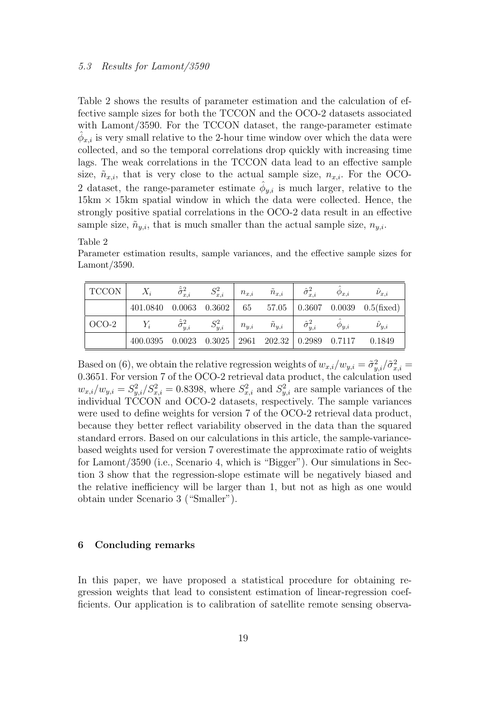Table 2 shows the results of parameter estimation and the calculation of effective sample sizes for both the TCCON and the OCO-2 datasets associated with Lamont/3590. For the TCCON dataset, the range-parameter estimate  $\hat{\phi}_{x,i}$  is very small relative to the 2-hour time window over which the data were collected, and so the temporal correlations drop quickly with increasing time lags. The weak correlations in the TCCON data lead to an effective sample size,  $\tilde{n}_{x,i}$ , that is very close to the actual sample size,  $n_{x,i}$ . For the OCO-2 dataset, the range-parameter estimate  $\hat{\phi}_{y,i}$  is much larger, relative to the  $15km \times 15km$  spatial window in which the data were collected. Hence, the strongly positive spatial correlations in the OCO-2 data result in an effective sample size,  $\tilde{n}_{y,i}$ , that is much smaller than the actual sample size,  $n_{y,i}$ .

#### Table 2

Parameter estimation results, sample variances, and the effective sample sizes for Lamont/3590.

| <b>TCCON</b> | $X_i$                        | $\tilde{\sigma}_{x,i}^2$ | $S^2_{x,i}$ | $n_{x,i}$ | $\tilde{n}_{x,i}$           | $\hat{\sigma}_{x,i}^2$ | $\phi_{x,i}$ | $\nu_{x,i}$                                              |
|--------------|------------------------------|--------------------------|-------------|-----------|-----------------------------|------------------------|--------------|----------------------------------------------------------|
|              |                              |                          |             |           |                             |                        |              | 401.0840 0.0063 0.3602 65 57.05 0.3607 0.0039 0.5(fixed) |
| OCO-2        | $Y_i$                        |                          | $S_{y,i}^2$ |           | $n_{y,i}$ $\tilde{n}_{y,i}$ | $\hat{\sigma}_{y,i}^2$ | $\phi_{y,i}$ | $\nu_{y,i}$                                              |
|              | $400.0395$ $0.0023$ $0.3025$ |                          |             |           |                             |                        |              | $2961$ $202.32$ $0.2989$ $0.7117$ $0.1849$               |

Based on (6), we obtain the relative regression weights of  $w_{x,i}/w_{y,i} = \tilde{\sigma}_{y,i}^2/\tilde{\sigma}_{x,i}^2 =$ 0.3651. For version 7 of the OCO-2 retrieval data product, the calculation used  $w_{x,i}/w_{y,i} = S_{y,i}^2/S_{x,i}^2 = 0.8398$ , where  $S_{x,i}^2$  and  $S_{y,i}^2$  are sample variances of the individual TCCON and OCO-2 datasets, respectively. The sample variances were used to define weights for version 7 of the OCO-2 retrieval data product, because they better reflect variability observed in the data than the squared standard errors. Based on our calculations in this article, the sample-variancebased weights used for version 7 overestimate the approximate ratio of weights for Lamont/3590 (i.e., Scenario 4, which is "Bigger"). Our simulations in Section 3 show that the regression-slope estimate will be negatively biased and the relative inefficiency will be larger than 1, but not as high as one would obtain under Scenario 3 ("Smaller").

#### 6 Concluding remarks

In this paper, we have proposed a statistical procedure for obtaining regression weights that lead to consistent estimation of linear-regression coefficients. Our application is to calibration of satellite remote sensing observa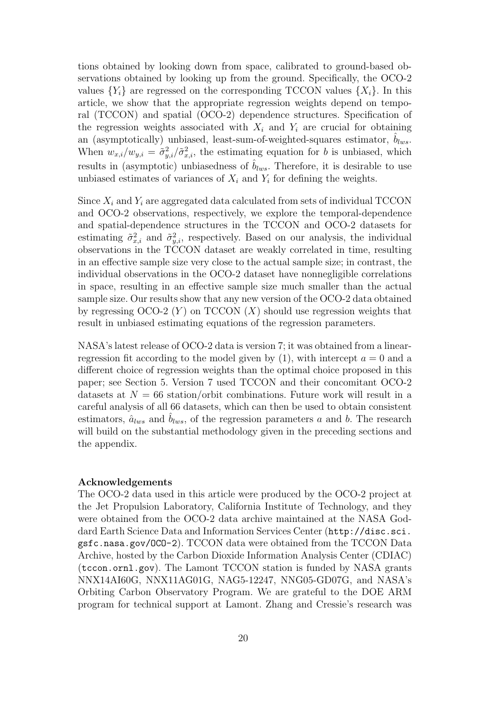tions obtained by looking down from space, calibrated to ground-based observations obtained by looking up from the ground. Specifically, the OCO-2 values  ${Y_i}$  are regressed on the corresponding TCCON values  ${X_i}$ . In this article, we show that the appropriate regression weights depend on temporal (TCCON) and spatial (OCO-2) dependence structures. Specification of the regression weights associated with  $X_i$  and  $Y_i$  are crucial for obtaining an (asymptotically) unbiased, least-sum-of-weighted-squares estimator,  $b_{lws}$ . When  $w_{x,i}/w_{y,i} = \tilde{\sigma}_{y,i}^2/\tilde{\sigma}_{x,i}^2$ , the estimating equation for b is unbiased, which results in (asymptotic) unbiasedness of  $\hat{b}_{lws}$ . Therefore, it is desirable to use unbiased estimates of variances of  $X_i$  and  $Y_i$  for defining the weights.

Since  $X_i$  and  $Y_i$  are aggregated data calculated from sets of individual TCCON and OCO-2 observations, respectively, we explore the temporal-dependence and spatial-dependence structures in the TCCON and OCO-2 datasets for estimating  $\tilde{\sigma}_{x,i}^2$  and  $\tilde{\sigma}_{y,i}^2$ , respectively. Based on our analysis, the individual observations in the TCCON dataset are weakly correlated in time, resulting in an effective sample size very close to the actual sample size; in contrast, the individual observations in the OCO-2 dataset have nonnegligible correlations in space, resulting in an effective sample size much smaller than the actual sample size. Our results show that any new version of the OCO-2 data obtained by regressing  $OCO-2$  (Y) on TCCON (X) should use regression weights that result in unbiased estimating equations of the regression parameters.

NASA's latest release of OCO-2 data is version 7; it was obtained from a linearregression fit according to the model given by  $(1)$ , with intercept  $a = 0$  and a different choice of regression weights than the optimal choice proposed in this paper; see Section 5. Version 7 used TCCON and their concomitant OCO-2 datasets at  $N = 66$  station/orbit combinations. Future work will result in a careful analysis of all 66 datasets, which can then be used to obtain consistent estimators,  $\hat{a}_{lws}$  and  $b_{lws}$ , of the regression parameters a and b. The research will build on the substantial methodology given in the preceding sections and the appendix.

#### Acknowledgements

The OCO-2 data used in this article were produced by the OCO-2 project at the Jet Propulsion Laboratory, California Institute of Technology, and they were obtained from the OCO-2 data archive maintained at the NASA Goddard Earth Science Data and Information Services Center (http://disc.sci. gsfc.nasa.gov/OCO-2). TCCON data were obtained from the TCCON Data Archive, hosted by the Carbon Dioxide Information Analysis Center (CDIAC) (tccon.ornl.gov). The Lamont TCCON station is funded by NASA grants NNX14AI60G, NNX11AG01G, NAG5-12247, NNG05-GD07G, and NASA's Orbiting Carbon Observatory Program. We are grateful to the DOE ARM program for technical support at Lamont. Zhang and Cressie's research was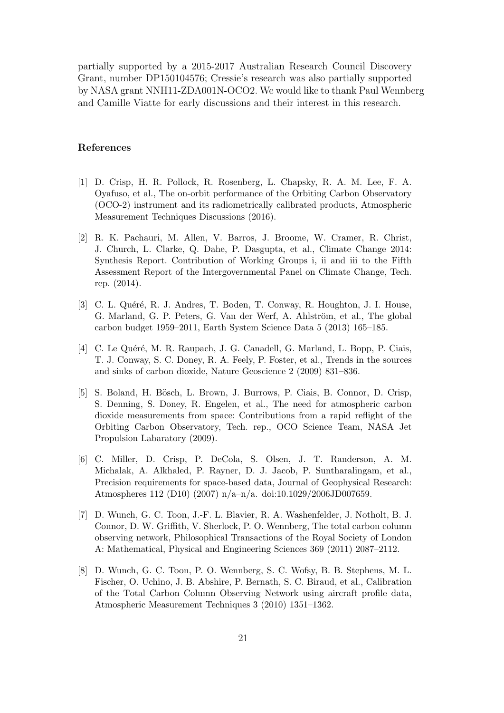partially supported by a 2015-2017 Australian Research Council Discovery Grant, number DP150104576; Cressie's research was also partially supported by NASA grant NNH11-ZDA001N-OCO2. We would like to thank Paul Wennberg and Camille Viatte for early discussions and their interest in this research.

#### References

- [1] D. Crisp, H. R. Pollock, R. Rosenberg, L. Chapsky, R. A. M. Lee, F. A. Oyafuso, et al., The on-orbit performance of the Orbiting Carbon Observatory (OCO-2) instrument and its radiometrically calibrated products, Atmospheric Measurement Techniques Discussions (2016).
- [2] R. K. Pachauri, M. Allen, V. Barros, J. Broome, W. Cramer, R. Christ, J. Church, L. Clarke, Q. Dahe, P. Dasgupta, et al., Climate Change 2014: Synthesis Report. Contribution of Working Groups i, ii and iii to the Fifth Assessment Report of the Intergovernmental Panel on Climate Change, Tech. rep. (2014).
- [3] C. L. Quéré, R. J. Andres, T. Boden, T. Conway, R. Houghton, J. I. House, G. Marland, G. P. Peters, G. Van der Werf, A. Ahlström, et al., The global carbon budget 1959–2011, Earth System Science Data 5 (2013) 165–185.
- [4] C. Le Quéré, M. R. Raupach, J. G. Canadell, G. Marland, L. Bopp, P. Ciais, T. J. Conway, S. C. Doney, R. A. Feely, P. Foster, et al., Trends in the sources and sinks of carbon dioxide, Nature Geoscience 2 (2009) 831–836.
- [5] S. Boland, H. Bösch, L. Brown, J. Burrows, P. Ciais, B. Connor, D. Crisp, S. Denning, S. Doney, R. Engelen, et al., The need for atmospheric carbon dioxide measurements from space: Contributions from a rapid reflight of the Orbiting Carbon Observatory, Tech. rep., OCO Science Team, NASA Jet Propulsion Labaratory (2009).
- [6] C. Miller, D. Crisp, P. DeCola, S. Olsen, J. T. Randerson, A. M. Michalak, A. Alkhaled, P. Rayner, D. J. Jacob, P. Suntharalingam, et al., Precision requirements for space-based data, Journal of Geophysical Research: Atmospheres 112 (D10) (2007) n/a–n/a. doi:10.1029/2006JD007659.
- [7] D. Wunch, G. C. Toon, J.-F. L. Blavier, R. A. Washenfelder, J. Notholt, B. J. Connor, D. W. Griffith, V. Sherlock, P. O. Wennberg, The total carbon column observing network, Philosophical Transactions of the Royal Society of London A: Mathematical, Physical and Engineering Sciences 369 (2011) 2087–2112.
- [8] D. Wunch, G. C. Toon, P. O. Wennberg, S. C. Wofsy, B. B. Stephens, M. L. Fischer, O. Uchino, J. B. Abshire, P. Bernath, S. C. Biraud, et al., Calibration of the Total Carbon Column Observing Network using aircraft profile data, Atmospheric Measurement Techniques 3 (2010) 1351–1362.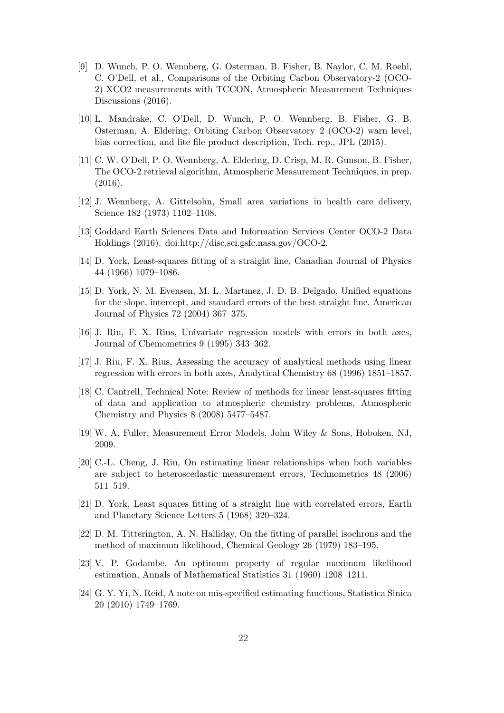- [9] D. Wunch, P. O. Wennberg, G. Osterman, B. Fisher, B. Naylor, C. M. Roehl, C. O'Dell, et al., Comparisons of the Orbiting Carbon Observatory-2 (OCO-2) XCO2 measurements with TCCON, Atmospheric Measurement Techniques Discussions (2016).
- [10] L. Mandrake, C. O'Dell, D. Wunch, P. O. Wennberg, B. Fisher, G. B. Osterman, A. Eldering, Orbiting Carbon Observatory–2 (OCO-2) warn level, bias correction, and lite file product description, Tech. rep., JPL (2015).
- [11] C. W. O'Dell, P. O. Wennberg, A. Eldering, D. Crisp, M. R. Gunson, B. Fisher, The OCO-2 retrieval algorithm, Atmospheric Measurement Techniques, in prep. (2016).
- [12] J. Wennberg, A. Gittelsohn, Small area variations in health care delivery, Science 182 (1973) 1102–1108.
- [13] Goddard Earth Sciences Data and Information Services Center OCO-2 Data Holdings (2016). doi:http://disc.sci.gsfc.nasa.gov/OCO-2.
- [14] D. York, Least-squares fitting of a straight line, Canadian Journal of Physics 44 (1966) 1079–1086.
- [15] D. York, N. M. Evensen, M. L. Martınez, J. D. B. Delgado, Unified equations for the slope, intercept, and standard errors of the best straight line, American Journal of Physics 72 (2004) 367–375.
- [16] J. Riu, F. X. Rius, Univariate regression models with errors in both axes, Journal of Chemometrics 9 (1995) 343–362.
- [17] J. Riu, F. X. Rius, Assessing the accuracy of analytical methods using linear regression with errors in both axes, Analytical Chemistry 68 (1996) 1851–1857.
- [18] C. Cantrell, Technical Note: Review of methods for linear least-squares fitting of data and application to atmospheric chemistry problems, Atmospheric Chemistry and Physics 8 (2008) 5477–5487.
- [19] W. A. Fuller, Measurement Error Models, John Wiley & Sons, Hoboken, NJ, 2009.
- [20] C.-L. Cheng, J. Riu, On estimating linear relationships when both variables are subject to heteroscedastic measurement errors, Technometrics 48 (2006) 511–519.
- [21] D. York, Least squares fitting of a straight line with correlated errors, Earth and Planetary Science Letters 5 (1968) 320–324.
- [22] D. M. Titterington, A. N. Halliday, On the fitting of parallel isochrons and the method of maximum likelihood, Chemical Geology 26 (1979) 183–195.
- [23] V. P. Godambe, An optimum property of regular maximum likelihood estimation, Annals of Mathematical Statistics 31 (1960) 1208–1211.
- [24] G. Y. Yi, N. Reid, A note on mis-specified estimating functions, Statistica Sinica 20 (2010) 1749–1769.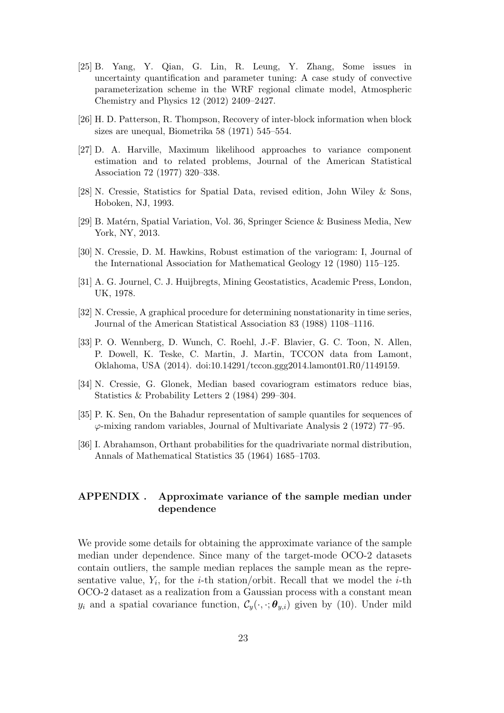- [25] B. Yang, Y. Qian, G. Lin, R. Leung, Y. Zhang, Some issues in uncertainty quantification and parameter tuning: A case study of convective parameterization scheme in the WRF regional climate model, Atmospheric Chemistry and Physics 12 (2012) 2409–2427.
- [26] H. D. Patterson, R. Thompson, Recovery of inter-block information when block sizes are unequal, Biometrika 58 (1971) 545–554.
- [27] D. A. Harville, Maximum likelihood approaches to variance component estimation and to related problems, Journal of the American Statistical Association 72 (1977) 320–338.
- [28] N. Cressie, Statistics for Spatial Data, revised edition, John Wiley & Sons, Hoboken, NJ, 1993.
- [29] B. Matérn, Spatial Variation, Vol. 36, Springer Science & Business Media, New York, NY, 2013.
- [30] N. Cressie, D. M. Hawkins, Robust estimation of the variogram: I, Journal of the International Association for Mathematical Geology 12 (1980) 115–125.
- [31] A. G. Journel, C. J. Huijbregts, Mining Geostatistics, Academic Press, London, UK, 1978.
- [32] N. Cressie, A graphical procedure for determining nonstationarity in time series, Journal of the American Statistical Association 83 (1988) 1108–1116.
- [33] P. O. Wennberg, D. Wunch, C. Roehl, J.-F. Blavier, G. C. Toon, N. Allen, P. Dowell, K. Teske, C. Martin, J. Martin, TCCON data from Lamont, Oklahoma, USA (2014). doi:10.14291/tccon.ggg2014.lamont01.R0/1149159.
- [34] N. Cressie, G. Glonek, Median based covariogram estimators reduce bias, Statistics & Probability Letters 2 (1984) 299–304.
- [35] P. K. Sen, On the Bahadur representation of sample quantiles for sequences of  $\varphi$ -mixing random variables, Journal of Multivariate Analysis 2 (1972) 77–95.
- [36] I. Abrahamson, Orthant probabilities for the quadrivariate normal distribution, Annals of Mathematical Statistics 35 (1964) 1685–1703.

# APPENDIX . Approximate variance of the sample median under dependence

We provide some details for obtaining the approximate variance of the sample median under dependence. Since many of the target-mode OCO-2 datasets contain outliers, the sample median replaces the sample mean as the representative value,  $Y_i$ , for the *i*-th station/orbit. Recall that we model the *i*-th OCO-2 dataset as a realization from a Gaussian process with a constant mean  $y_i$  and a spatial covariance function,  $\mathcal{C}_y(\cdot, \cdot; \boldsymbol{\theta}_{y,i})$  given by (10). Under mild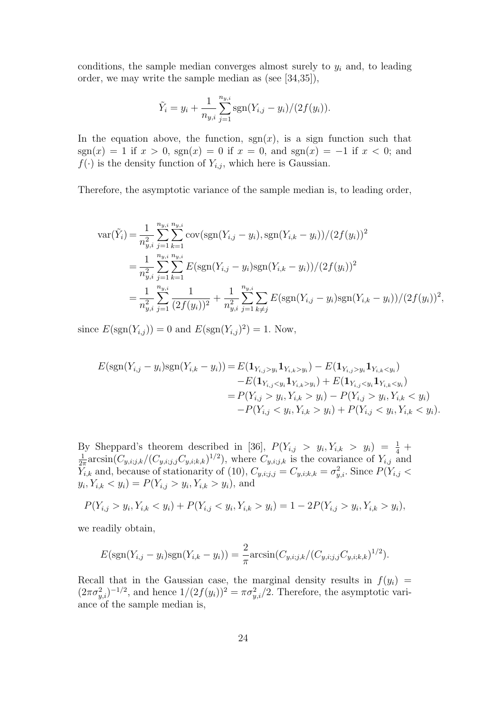conditions, the sample median converges almost surely to  $y_i$  and, to leading order, we may write the sample median as (see [34,35]),

$$
\tilde{Y}_i = y_i + \frac{1}{n_{y,i}} \sum_{j=1}^{n_{y,i}} \text{sgn}(Y_{i,j} - y_i) / (2f(y_i)).
$$

In the equation above, the function,  $sgn(x)$ , is a sign function such that sgn(x) = 1 if  $x > 0$ , sgn(x) = 0 if  $x = 0$ , and sgn(x) = -1 if  $x < 0$ ; and  $f(\cdot)$  is the density function of  $Y_{i,j}$ , which here is Gaussian.

Therefore, the asymptotic variance of the sample median is, to leading order,

$$
\begin{split} \text{var}(\tilde{Y}_i) &= \frac{1}{n_{y,i}^2} \sum_{j=1}^{n_{y,i}} \sum_{k=1}^{n_{y,i}} \text{cov}(\text{sgn}(Y_{i,j} - y_i), \text{sgn}(Y_{i,k} - y_i)) / (2f(y_i))^2 \\ &= \frac{1}{n_{y,i}^2} \sum_{j=1}^{n_{y,i}} \sum_{k=1}^{n_{y,i}} E(\text{sgn}(Y_{i,j} - y_i) \text{sgn}(Y_{i,k} - y_i)) / (2f(y_i))^2 \\ &= \frac{1}{n_{y,i}^2} \sum_{j=1}^{n_{y,i}} \frac{1}{(2f(y_i))^2} + \frac{1}{n_{y,i}^2} \sum_{j=1}^{n_{y,i}} \sum_{k \neq j} E(\text{sgn}(Y_{i,j} - y_i) \text{sgn}(Y_{i,k} - y_i)) / (2f(y_i))^2, \end{split}
$$

since  $E(\text{sgn}(Y_{i,j})) = 0$  and  $E(\text{sgn}(Y_{i,j})^2) = 1$ . Now,

$$
E(\text{sgn}(Y_{i,j} - y_i)\text{sgn}(Y_{i,k} - y_i)) = E(\mathbf{1}_{Y_{i,j} > y_i}\mathbf{1}_{Y_{i,k} > y_i}) - E(\mathbf{1}_{Y_{i,j} > y_i}\mathbf{1}_{Y_{i,k} < y_i})
$$
  
\n
$$
-E(\mathbf{1}_{Y_{i,j} < y_i}\mathbf{1}_{Y_{i,k} > y_i}) + E(\mathbf{1}_{Y_{i,j} < y_i}\mathbf{1}_{Y_{i,k} < y_i})
$$
  
\n
$$
= P(Y_{i,j} > y_i, Y_{i,k} > y_i) - P(Y_{i,j} > y_i, Y_{i,k} < y_i)
$$
  
\n
$$
-P(Y_{i,j} < y_i, Y_{i,k} > y_i) + P(Y_{i,j} < y_i, Y_{i,k} < y_i).
$$

By Sheppard's theorem described in [36],  $P(Y_{i,j} > y_i, Y_{i,k} > y_i) = \frac{1}{4} + \frac{1}{2} \arcsin(C_{i,j} + C_{i,j} + 1/2)$  where  $C_{i,j}$  is the covariance of  $Y_{i,j}$  and  $\frac{1}{2\pi} \arcsin(C_{y,i;j,k}/(C_{y,i;j,j}C_{y,i;k,k})^{1/2}),$  where  $C_{y,i;j,k}$  is the covariance of  $Y_{i,j}$  and  $\overline{Y}_{i,k}$  and, because of stationarity of (10),  $C_{y,i;j,j} = C_{y,i;k,k} = \sigma_{y,i}^2$ . Since  $P(Y_{i,j} <$  $y_i, Y_{i,k} < y_i) = P(Y_{i,j} > y_i, Y_{i,k} > y_i)$ , and

$$
P(Y_{i,j} > y_i, Y_{i,k} < y_i) + P(Y_{i,j} < y_i, Y_{i,k} > y_i) = 1 - 2P(Y_{i,j} > y_i, Y_{i,k} > y_i),
$$

we readily obtain,

$$
E(\text{sgn}(Y_{i,j} - y_i)\text{sgn}(Y_{i,k} - y_i)) = \frac{2}{\pi}\arcsin(C_{y,i;j,k}/(C_{y,i;j,j}C_{y,i;k,k})^{1/2}).
$$

Recall that in the Gaussian case, the marginal density results in  $f(y_i)$  =  $(2\pi\sigma_{y,i}^2)^{-1/2}$ , and hence  $1/(2f(y_i))^2 = \pi\sigma_{y,i}^2/2$ . Therefore, the asymptotic variance of the sample median is,